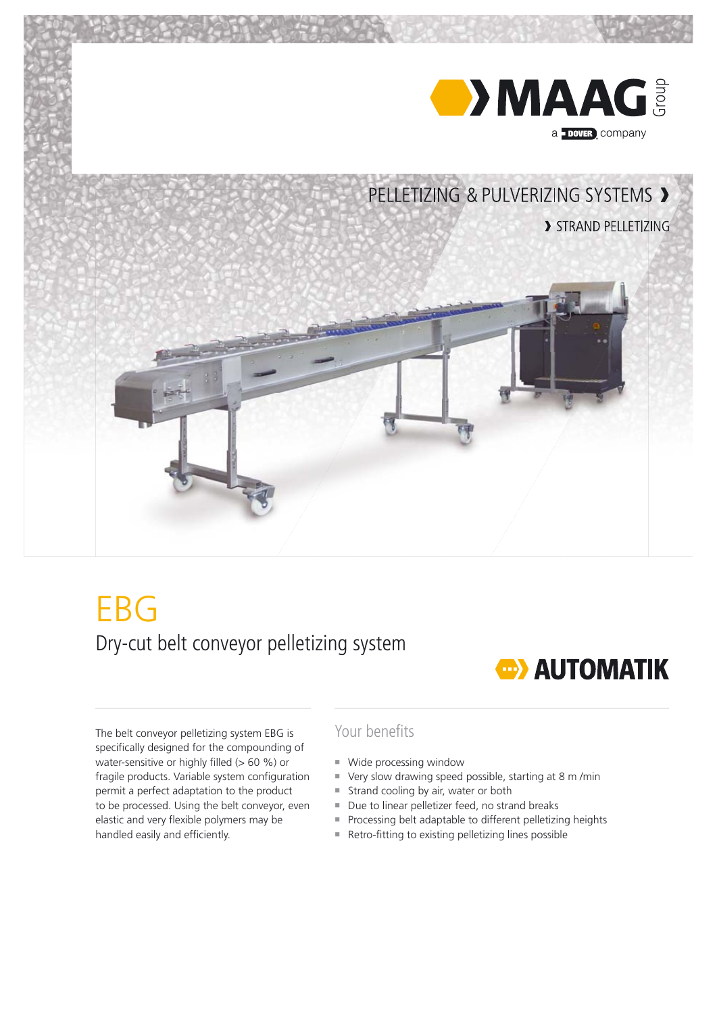

# **EBG** Dry-cut belt conveyor pelletizing system

## **CD** AUTOMATIK

The belt conveyor pelletizing system EBG is specifically designed for the compounding of water-sensitive or highly filled  $(> 60 \%)$  or fragile products. Variable system configuration permit a perfect adaptation to the product to be processed. Using the belt conveyor, even elastic and very flexible polymers may be handled easily and efficiently.

## Your benefits

- Wide processing window
- Very slow drawing speed possible, starting at 8 m/min
- Strand cooling by air, water or both
- Due to linear pelletizer feed, no strand breaks
- ¡ Processing belt adaptable to different pelletizing heights
- $\blacksquare$  Retro-fitting to existing pelletizing lines possible